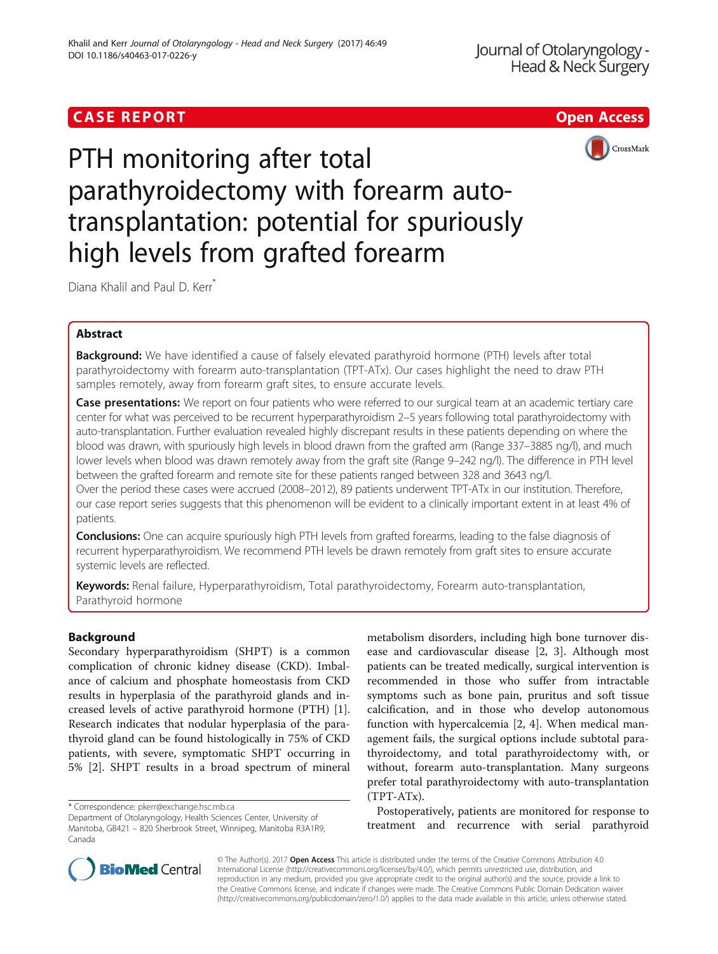# **CASE REPORT CASE REPORT** And the contract of the contract of the contract of the contract of the contract of the contract of the contract of the contract of the contract of the contract of the contract of the contract of





PTH monitoring after total parathyroidectomy with forearm autotransplantation: potential for spuriously high levels from grafted forearm

Diana Khalil and Paul D. Kerr<sup>\*</sup>

# Abstract

Background: We have identified a cause of falsely elevated parathyroid hormone (PTH) levels after total parathyroidectomy with forearm auto-transplantation (TPT-ATx). Our cases highlight the need to draw PTH samples remotely, away from forearm graft sites, to ensure accurate levels.

Case presentations: We report on four patients who were referred to our surgical team at an academic tertiary care center for what was perceived to be recurrent hyperparathyroidism 2–5 years following total parathyroidectomy with auto-transplantation. Further evaluation revealed highly discrepant results in these patients depending on where the blood was drawn, with spuriously high levels in blood drawn from the grafted arm (Range 337–3885 ng/l), and much lower levels when blood was drawn remotely away from the graft site (Range 9–242 ng/l). The difference in PTH level between the grafted forearm and remote site for these patients ranged between 328 and 3643 ng/l. Over the period these cases were accrued (2008–2012), 89 patients underwent TPT-ATx in our institution. Therefore,

our case report series suggests that this phenomenon will be evident to a clinically important extent in at least 4% of patients.

**Conclusions:** One can acquire spuriously high PTH levels from grafted forearms, leading to the false diagnosis of recurrent hyperparathyroidism. We recommend PTH levels be drawn remotely from graft sites to ensure accurate systemic levels are reflected.

Keywords: Renal failure, Hyperparathyroidism, Total parathyroidectomy, Forearm auto-transplantation, Parathyroid hormone

### Background

Secondary hyperparathyroidism (SHPT) is a common complication of chronic kidney disease (CKD). Imbalance of calcium and phosphate homeostasis from CKD results in hyperplasia of the parathyroid glands and increased levels of active parathyroid hormone (PTH) [\[1](#page-2-0)]. Research indicates that nodular hyperplasia of the parathyroid gland can be found histologically in 75% of CKD patients, with severe, symptomatic SHPT occurring in 5% [\[2](#page-2-0)]. SHPT results in a broad spectrum of mineral

\* Correspondence: [pkerr@exchange.hsc.mb.ca](mailto:pkerr@exchange.hsc.mb.ca)

Department of Otolaryngology, Health Sciences Center, University of Manitoba, GB421 – 820 Sherbrook Street, Winnipeg, Manitoba R3A1R9, Canada

metabolism disorders, including high bone turnover disease and cardiovascular disease [\[2](#page-2-0), [3](#page-2-0)]. Although most patients can be treated medically, surgical intervention is recommended in those who suffer from intractable symptoms such as bone pain, pruritus and soft tissue calcification, and in those who develop autonomous function with hypercalcemia [[2, 4](#page-2-0)]. When medical management fails, the surgical options include subtotal parathyroidectomy, and total parathyroidectomy with, or without, forearm auto-transplantation. Many surgeons prefer total parathyroidectomy with auto-transplantation (TPT-ATx).

Postoperatively, patients are monitored for response to treatment and recurrence with serial parathyroid

© The Author(s). 2017 **Open Access** This article is distributed under the terms of the Creative Commons Attribution 4.0 International License [\(http://creativecommons.org/licenses/by/4.0/](http://creativecommons.org/licenses/by/4.0/)), which permits unrestricted use, distribution, and reproduction in any medium, provided you give appropriate credit to the original author(s) and the source, provide a link to the Creative Commons license, and indicate if changes were made. The Creative Commons Public Domain Dedication waiver [\(http://creativecommons.org/publicdomain/zero/1.0/](http://creativecommons.org/publicdomain/zero/1.0/)) applies to the data made available in this article, unless otherwise stated.

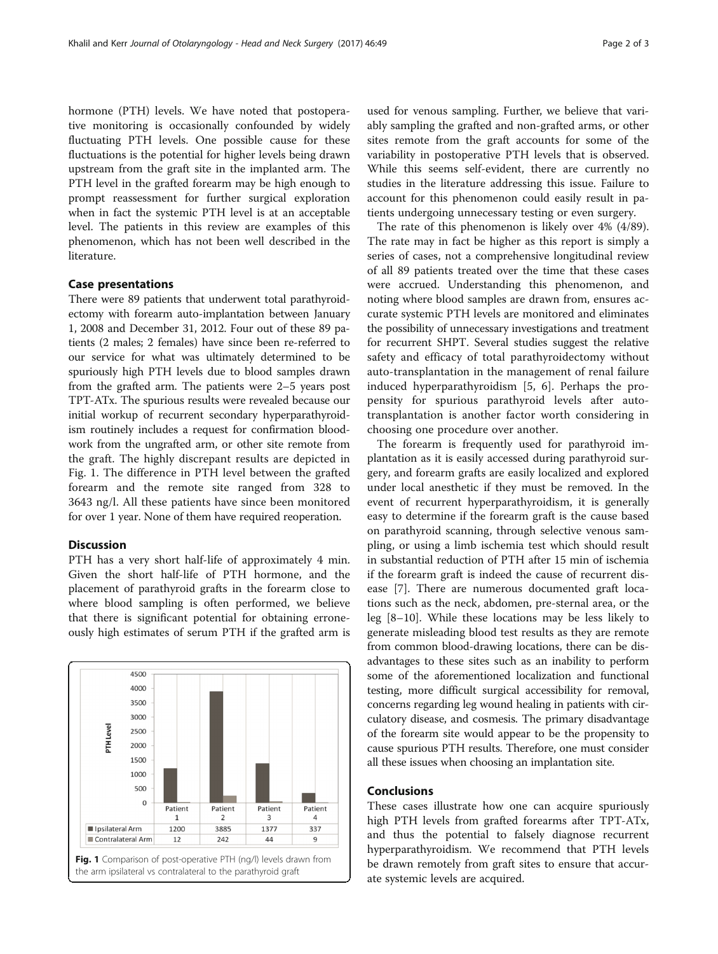hormone (PTH) levels. We have noted that postoperative monitoring is occasionally confounded by widely fluctuating PTH levels. One possible cause for these fluctuations is the potential for higher levels being drawn upstream from the graft site in the implanted arm. The PTH level in the grafted forearm may be high enough to prompt reassessment for further surgical exploration when in fact the systemic PTH level is at an acceptable level. The patients in this review are examples of this phenomenon, which has not been well described in the literature.

### Case presentations

There were 89 patients that underwent total parathyroidectomy with forearm auto-implantation between January 1, 2008 and December 31, 2012. Four out of these 89 patients (2 males; 2 females) have since been re-referred to our service for what was ultimately determined to be spuriously high PTH levels due to blood samples drawn from the grafted arm. The patients were 2–5 years post TPT-ATx. The spurious results were revealed because our initial workup of recurrent secondary hyperparathyroidism routinely includes a request for confirmation bloodwork from the ungrafted arm, or other site remote from the graft. The highly discrepant results are depicted in Fig. 1. The difference in PTH level between the grafted forearm and the remote site ranged from 328 to 3643 ng/l. All these patients have since been monitored for over 1 year. None of them have required reoperation.

### Discussion

PTH has a very short half-life of approximately 4 min. Given the short half-life of PTH hormone, and the placement of parathyroid grafts in the forearm close to where blood sampling is often performed, we believe that there is significant potential for obtaining erroneously high estimates of serum PTH if the grafted arm is



used for venous sampling. Further, we believe that variably sampling the grafted and non-grafted arms, or other sites remote from the graft accounts for some of the variability in postoperative PTH levels that is observed. While this seems self-evident, there are currently no studies in the literature addressing this issue. Failure to account for this phenomenon could easily result in patients undergoing unnecessary testing or even surgery.

The rate of this phenomenon is likely over 4% (4/89). The rate may in fact be higher as this report is simply a series of cases, not a comprehensive longitudinal review of all 89 patients treated over the time that these cases were accrued. Understanding this phenomenon, and noting where blood samples are drawn from, ensures accurate systemic PTH levels are monitored and eliminates the possibility of unnecessary investigations and treatment for recurrent SHPT. Several studies suggest the relative safety and efficacy of total parathyroidectomy without auto-transplantation in the management of renal failure induced hyperparathyroidism [\[5](#page-2-0), [6](#page-2-0)]. Perhaps the propensity for spurious parathyroid levels after autotransplantation is another factor worth considering in choosing one procedure over another.

The forearm is frequently used for parathyroid implantation as it is easily accessed during parathyroid surgery, and forearm grafts are easily localized and explored under local anesthetic if they must be removed. In the event of recurrent hyperparathyroidism, it is generally easy to determine if the forearm graft is the cause based on parathyroid scanning, through selective venous sampling, or using a limb ischemia test which should result in substantial reduction of PTH after 15 min of ischemia if the forearm graft is indeed the cause of recurrent disease [\[7\]](#page-2-0). There are numerous documented graft locations such as the neck, abdomen, pre-sternal area, or the leg [[8](#page-2-0)–[10\]](#page-2-0). While these locations may be less likely to generate misleading blood test results as they are remote from common blood-drawing locations, there can be disadvantages to these sites such as an inability to perform some of the aforementioned localization and functional testing, more difficult surgical accessibility for removal, concerns regarding leg wound healing in patients with circulatory disease, and cosmesis. The primary disadvantage of the forearm site would appear to be the propensity to cause spurious PTH results. Therefore, one must consider all these issues when choosing an implantation site.

### Conclusions

These cases illustrate how one can acquire spuriously high PTH levels from grafted forearms after TPT-ATx, and thus the potential to falsely diagnose recurrent hyperparathyroidism. We recommend that PTH levels be drawn remotely from graft sites to ensure that accurate systemic levels are acquired.